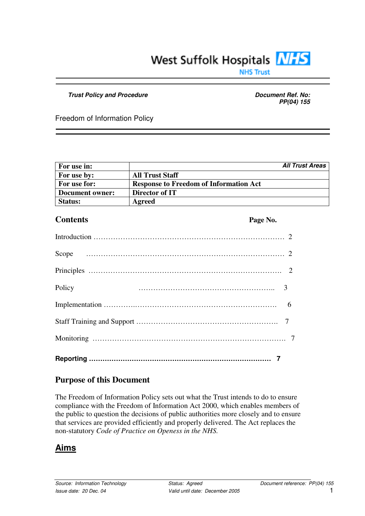# West Suffolk Hospitals NHS

**NHS Trust** 

#### *Trust Policy and Procedure Document Ref. No:*

*PP(04) 155*

Freedom of Information Policy

| For use in:     |                                               | <b>All Trust Areas</b> |
|-----------------|-----------------------------------------------|------------------------|
| For use by:     | <b>All Trust Staff</b>                        |                        |
| For use for:    | <b>Response to Freedom of Information Act</b> |                        |
| Document owner: | Director of IT                                |                        |
| <b>Status:</b>  | Agreed                                        |                        |

#### **Contents Page No.**

| Policy |
|--------|
|        |
|        |
|        |

# **Purpose of this Document**

The Freedom of Information Policy sets out what the Trust intends to do to ensure compliance with the Freedom of Information Act 2000, which enables members of the public to question the decisions of public authorities more closely and to ensure that services are provided efficiently and properly delivered. The Act replaces the non-statutory *Code of Practice on Openess in the NHS.*

## **Aims**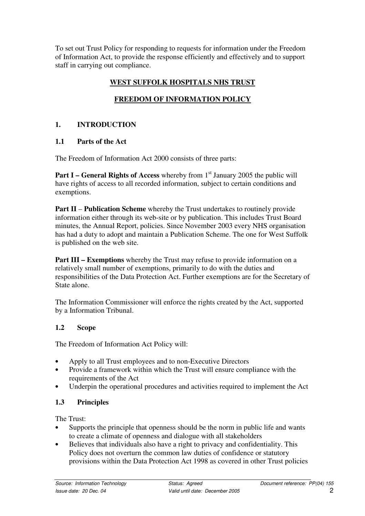To set out Trust Policy for responding to requests for information under the Freedom of Information Act, to provide the response efficiently and effectively and to support staff in carrying out compliance.

## **WEST SUFFOLK HOSPITALS NHS TRUST**

# **FREEDOM OF INFORMATION POLICY**

## **1. INTRODUCTION**

#### **1.1 Parts of the Act**

The Freedom of Information Act 2000 consists of three parts:

**Part I** – General Rights of Access whereby from 1<sup>st</sup> January 2005 the public will have rights of access to all recorded information, subject to certain conditions and exemptions.

**Part II** – **Publication Scheme** whereby the Trust undertakes to routinely provide information either through its web-site or by publication. This includes Trust Board minutes, the Annual Report, policies. Since November 2003 every NHS organisation has had a duty to adopt and maintain a Publication Scheme. The one for West Suffolk is published on the web site.

**Part III – Exemptions** whereby the Trust may refuse to provide information on a relatively small number of exemptions, primarily to do with the duties and responsibilities of the Data Protection Act. Further exemptions are for the Secretary of State alone.

The Information Commissioner will enforce the rights created by the Act, supported by a Information Tribunal.

#### **1.2 Scope**

The Freedom of Information Act Policy will:

- Apply to all Trust employees and to non-Executive Directors
- Provide a framework within which the Trust will ensure compliance with the requirements of the Act
- Underpin the operational procedures and activities required to implement the Act

## **1.3 Principles**

The Trust:

- Supports the principle that openness should be the norm in public life and wants to create a climate of openness and dialogue with all stakeholders
- Believes that individuals also have a right to privacy and confidentiality. This Policy does not overturn the common law duties of confidence or statutory provisions within the Data Protection Act 1998 as covered in other Trust policies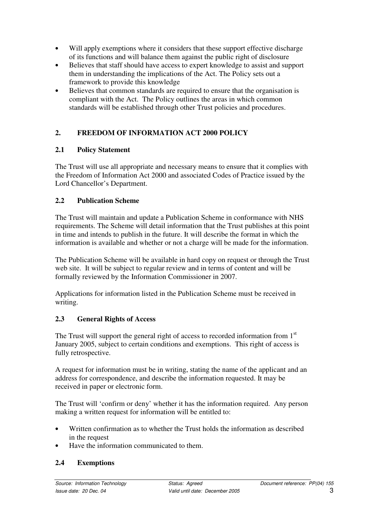- Will apply exemptions where it considers that these support effective discharge of its functions and will balance them against the public right of disclosure
- Believes that staff should have access to expert knowledge to assist and support them in understanding the implications of the Act. The Policy sets out a framework to provide this knowledge
- Believes that common standards are required to ensure that the organisation is compliant with the Act. The Policy outlines the areas in which common standards will be established through other Trust policies and procedures.

## **2. FREEDOM OF INFORMATION ACT 2000 POLICY**

## **2.1 Policy Statement**

The Trust will use all appropriate and necessary means to ensure that it complies with the Freedom of Information Act 2000 and associated Codes of Practice issued by the Lord Chancellor's Department.

## **2.2 Publication Scheme**

The Trust will maintain and update a Publication Scheme in conformance with NHS requirements. The Scheme will detail information that the Trust publishes at this point in time and intends to publish in the future. It will describe the format in which the information is available and whether or not a charge will be made for the information.

The Publication Scheme will be available in hard copy on request or through the Trust web site. It will be subject to regular review and in terms of content and will be formally reviewed by the Information Commissioner in 2007.

Applications for information listed in the Publication Scheme must be received in writing.

## **2.3 General Rights of Access**

The Trust will support the general right of access to recorded information from  $1<sup>st</sup>$ January 2005, subject to certain conditions and exemptions. This right of access is fully retrospective.

A request for information must be in writing, stating the name of the applicant and an address for correspondence, and describe the information requested. It may be received in paper or electronic form.

The Trust will 'confirm or deny' whether it has the information required. Any person making a written request for information will be entitled to:

- Written confirmation as to whether the Trust holds the information as described in the request
- Have the information communicated to them.

#### **2.4 Exemptions**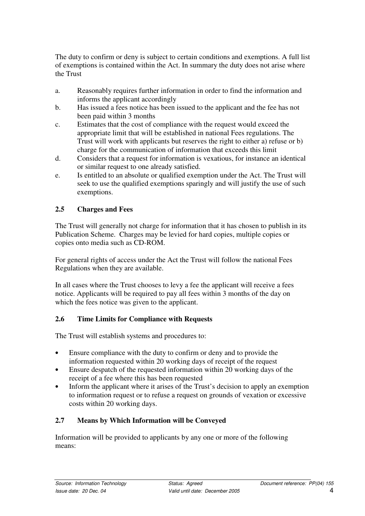The duty to confirm or deny is subject to certain conditions and exemptions. A full list of exemptions is contained within the Act. In summary the duty does not arise where the Trust

- a. Reasonably requires further information in order to find the information and informs the applicant accordingly
- b. Has issued a fees notice has been issued to the applicant and the fee has not been paid within 3 months
- c. Estimates that the cost of compliance with the request would exceed the appropriate limit that will be established in national Fees regulations. The Trust will work with applicants but reserves the right to either a) refuse or b) charge for the communication of information that exceeds this limit
- d. Considers that a request for information is vexatious, for instance an identical or similar request to one already satisfied.
- e. Is entitled to an absolute or qualified exemption under the Act. The Trust will seek to use the qualified exemptions sparingly and will justify the use of such exemptions.

## **2.5 Charges and Fees**

The Trust will generally not charge for information that it has chosen to publish in its Publication Scheme. Charges may be levied for hard copies, multiple copies or copies onto media such as CD-ROM.

For general rights of access under the Act the Trust will follow the national Fees Regulations when they are available.

In all cases where the Trust chooses to levy a fee the applicant will receive a fees notice. Applicants will be required to pay all fees within 3 months of the day on which the fees notice was given to the applicant.

#### **2.6 Time Limits for Compliance with Requests**

The Trust will establish systems and procedures to:

- Ensure compliance with the duty to confirm or deny and to provide the information requested within 20 working days of receipt of the request
- Ensure despatch of the requested information within 20 working days of the receipt of a fee where this has been requested
- Inform the applicant where it arises of the Trust's decision to apply an exemption to information request or to refuse a request on grounds of vexation or excessive costs within 20 working days.

## **2.7 Means by Which Information will be Conveyed**

Information will be provided to applicants by any one or more of the following means: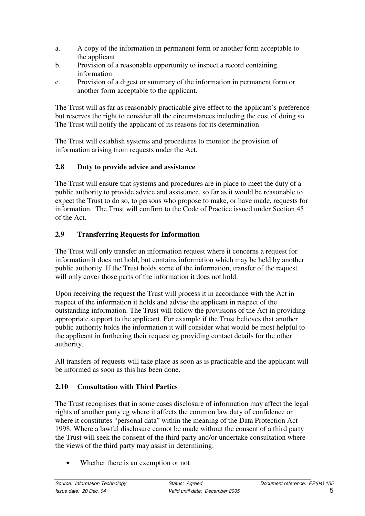- a. A copy of the information in permanent form or another form acceptable to the applicant
- b. Provision of a reasonable opportunity to inspect a record containing information
- c. Provision of a digest or summary of the information in permanent form or another form acceptable to the applicant.

The Trust will as far as reasonably practicable give effect to the applicant's preference but reserves the right to consider all the circumstances including the cost of doing so. The Trust will notify the applicant of its reasons for its determination.

The Trust will establish systems and procedures to monitor the provision of information arising from requests under the Act.

## **2.8 Duty to provide advice and assistance**

The Trust will ensure that systems and procedures are in place to meet the duty of a public authority to provide advice and assistance, so far as it would be reasonable to expect the Trust to do so, to persons who propose to make, or have made, requests for information. The Trust will confirm to the Code of Practice issued under Section 45 of the Act.

## **2.9 Transferring Requests for Information**

The Trust will only transfer an information request where it concerns a request for information it does not hold, but contains information which may be held by another public authority. If the Trust holds some of the information, transfer of the request will only cover those parts of the information it does not hold.

Upon receiving the request the Trust will process it in accordance with the Act in respect of the information it holds and advise the applicant in respect of the outstanding information. The Trust will follow the provisions of the Act in providing appropriate support to the applicant. For example if the Trust believes that another public authority holds the information it will consider what would be most helpful to the applicant in furthering their request eg providing contact details for the other authority.

All transfers of requests will take place as soon as is practicable and the applicant will be informed as soon as this has been done.

#### **2.10 Consultation with Third Parties**

The Trust recognises that in some cases disclosure of information may affect the legal rights of another party eg where it affects the common law duty of confidence or where it constitutes "personal data" within the meaning of the Data Protection Act 1998. Where a lawful disclosure cannot be made without the consent of a third party the Trust will seek the consent of the third party and/or undertake consultation where the views of the third party may assist in determining:

Whether there is an exemption or not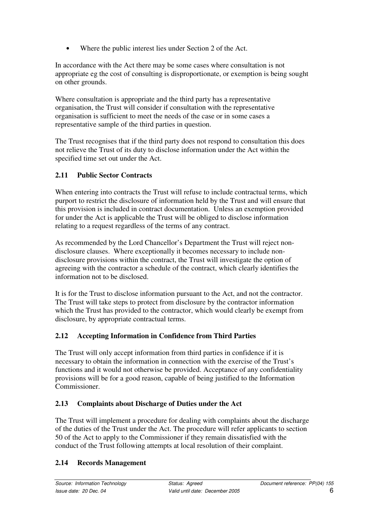• Where the public interest lies under Section 2 of the Act.

In accordance with the Act there may be some cases where consultation is not appropriate eg the cost of consulting is disproportionate, or exemption is being sought on other grounds.

Where consultation is appropriate and the third party has a representative organisation, the Trust will consider if consultation with the representative organisation is sufficient to meet the needs of the case or in some cases a representative sample of the third parties in question.

The Trust recognises that if the third party does not respond to consultation this does not relieve the Trust of its duty to disclose information under the Act within the specified time set out under the Act.

## **2.11 Public Sector Contracts**

When entering into contracts the Trust will refuse to include contractual terms, which purport to restrict the disclosure of information held by the Trust and will ensure that this provision is included in contract documentation. Unless an exemption provided for under the Act is applicable the Trust will be obliged to disclose information relating to a request regardless of the terms of any contract.

As recommended by the Lord Chancellor's Department the Trust will reject nondisclosure clauses. Where exceptionally it becomes necessary to include nondisclosure provisions within the contract, the Trust will investigate the option of agreeing with the contractor a schedule of the contract, which clearly identifies the information not to be disclosed.

It is for the Trust to disclose information pursuant to the Act, and not the contractor. The Trust will take steps to protect from disclosure by the contractor information which the Trust has provided to the contractor, which would clearly be exempt from disclosure, by appropriate contractual terms.

## **2.12 Accepting Information in Confidence from Third Parties**

The Trust will only accept information from third parties in confidence if it is necessary to obtain the information in connection with the exercise of the Trust's functions and it would not otherwise be provided. Acceptance of any confidentiality provisions will be for a good reason, capable of being justified to the Information Commissioner.

## **2.13 Complaints about Discharge of Duties under the Act**

The Trust will implement a procedure for dealing with complaints about the discharge of the duties of the Trust under the Act. The procedure will refer applicants to section 50 of the Act to apply to the Commissioner if they remain dissatisfied with the conduct of the Trust following attempts at local resolution of their complaint.

## **2.14 Records Management**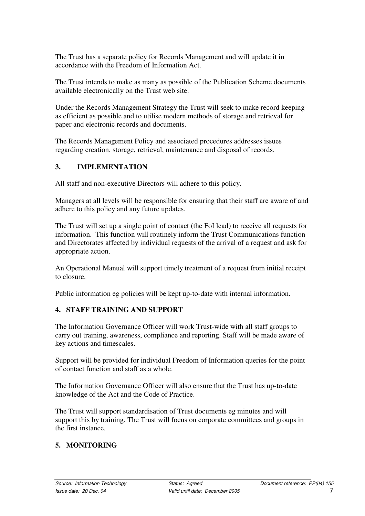The Trust has a separate policy for Records Management and will update it in accordance with the Freedom of Information Act.

The Trust intends to make as many as possible of the Publication Scheme documents available electronically on the Trust web site.

Under the Records Management Strategy the Trust will seek to make record keeping as efficient as possible and to utilise modern methods of storage and retrieval for paper and electronic records and documents.

The Records Management Policy and associated procedures addresses issues regarding creation, storage, retrieval, maintenance and disposal of records.

## **3. IMPLEMENTATION**

All staff and non-executive Directors will adhere to this policy.

Managers at all levels will be responsible for ensuring that their staff are aware of and adhere to this policy and any future updates.

The Trust will set up a single point of contact (the FoI lead) to receive all requests for information. This function will routinely inform the Trust Communications function and Directorates affected by individual requests of the arrival of a request and ask for appropriate action.

An Operational Manual will support timely treatment of a request from initial receipt to closure.

Public information eg policies will be kept up-to-date with internal information.

#### **4. STAFF TRAINING AND SUPPORT**

The Information Governance Officer will work Trust-wide with all staff groups to carry out training, awareness, compliance and reporting. Staff will be made aware of key actions and timescales.

Support will be provided for individual Freedom of Information queries for the point of contact function and staff as a whole.

The Information Governance Officer will also ensure that the Trust has up-to-date knowledge of the Act and the Code of Practice.

The Trust will support standardisation of Trust documents eg minutes and will support this by training. The Trust will focus on corporate committees and groups in the first instance.

## **5. MONITORING**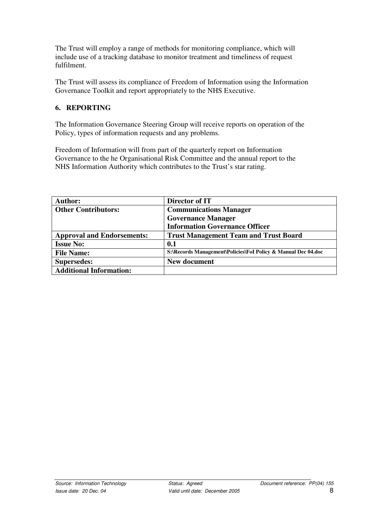The Trust will employ a range of methods for monitoring compliance, which will include use of a tracking database to monitor treatment and timeliness of request fulfilment.

The Trust will assess its compliance of Freedom of Information using the Information Governance Toolkit and report appropriately to the NHS Executive.

#### **6. REPORTING**

The Information Governance Steering Group will receive reports on operation of the Policy, types of information requests and any problems.

Freedom of Information will from part of the quarterly report on Information Governance to the he Organisational Risk Committee and the annual report to the NHS Information Authority which contributes to the Trust's star rating.

| <b>Author:</b>                    | Director of IT                                                |  |
|-----------------------------------|---------------------------------------------------------------|--|
| <b>Other Contributors:</b>        | <b>Communications Manager</b>                                 |  |
|                                   | <b>Governance Manager</b>                                     |  |
|                                   | <b>Information Governance Officer</b>                         |  |
| <b>Approval and Endorsements:</b> | <b>Trust Management Team and Trust Board</b>                  |  |
| <b>Issue No:</b>                  | 0.1                                                           |  |
| <b>File Name:</b>                 | S:\Records Management\Policies\FoI Policy & Manual Dec 04.doc |  |
| <b>Supersedes:</b>                | New document                                                  |  |
| <b>Additional Information:</b>    |                                                               |  |